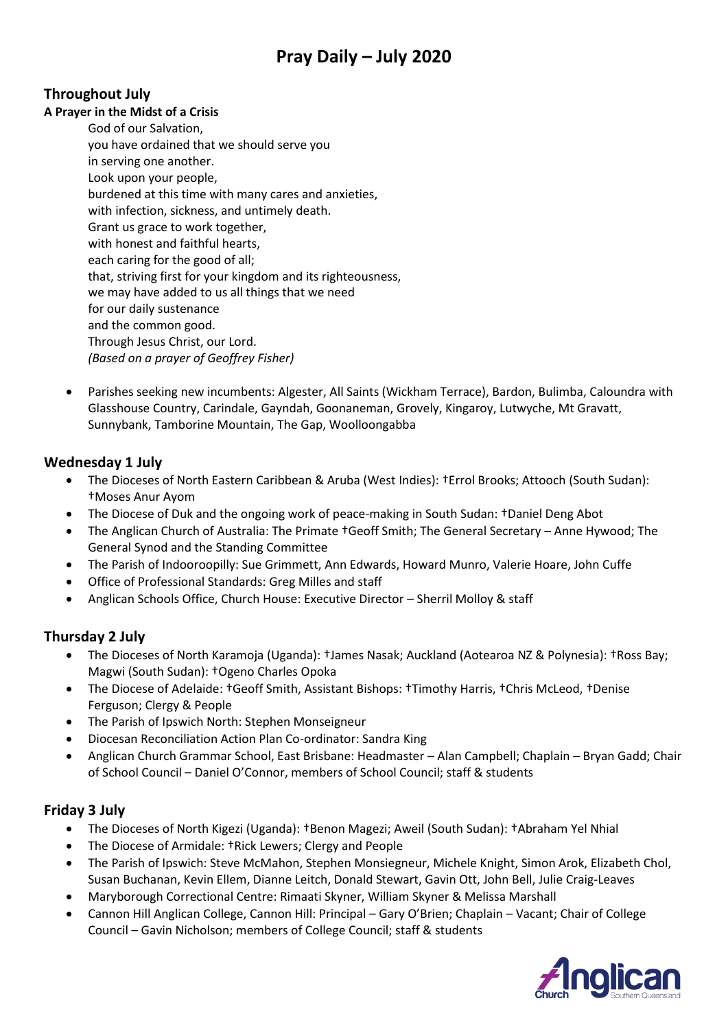# **Pray Daily – July 2020**

### **Throughout July**

#### **A Prayer in the Midst of a Crisis**

- God of our Salvation, you have ordained that we should serve you in serving one another. Look upon your people, burdened at this time with many cares and anxieties, with infection, sickness, and untimely death. Grant us grace to work together, with honest and faithful hearts, each caring for the good of all; that, striving first for your kingdom and its righteousness, we may have added to us all things that we need for our daily sustenance and the common good. Through Jesus Christ, our Lord. *(Based on a prayer of Geoffrey Fisher)*
- Parishes seeking new incumbents: Algester, All Saints (Wickham Terrace), Bardon, Bulimba, Caloundra with Glasshouse Country, Carindale, Gayndah, Goonaneman, Grovely, Kingaroy, Lutwyche, Mt Gravatt, Sunnybank, Tamborine Mountain, The Gap, Woolloongabba

#### **Wednesday 1 July**

- The Dioceses of North Eastern Caribbean & Aruba (West Indies): †Errol Brooks; Attooch (South Sudan): †Moses Anur Ayom
- The Diocese of Duk and the ongoing work of peace-making in South Sudan: †Daniel Deng Abot
- The Anglican Church of Australia: The Primate †Geoff Smith; The General Secretary Anne Hywood; The General Synod and the Standing Committee
- The Parish of Indooroopilly: Sue Grimmett, Ann Edwards, Howard Munro, Valerie Hoare, John Cuffe
- Office of Professional Standards: Greg Milles and staff
- Anglican Schools Office, Church House: Executive Director Sherril Molloy & staff

#### **Thursday 2 July**

- The Dioceses of North Karamoja (Uganda): †James Nasak; Auckland (Aotearoa NZ & Polynesia): †Ross Bay; Magwi (South Sudan): †Ogeno Charles Opoka
- The Diocese of Adelaide: †Geoff Smith, Assistant Bishops: †Timothy Harris, †Chris McLeod, †Denise Ferguson; Clergy & People
- The Parish of Ipswich North: Stephen Monseigneur
- Diocesan Reconciliation Action Plan Co-ordinator: Sandra King
- Anglican Church Grammar School, East Brisbane: Headmaster Alan Campbell; Chaplain Bryan Gadd; Chair of School Council – Daniel O'Connor, members of School Council; staff & students

#### **Friday 3 July**

- The Dioceses of North Kigezi (Uganda): †Benon Magezi; Aweil (South Sudan): †Abraham Yel Nhial
- The Diocese of Armidale: †Rick Lewers; Clergy and People
- The Parish of Ipswich: Steve McMahon, Stephen Monsiegneur, Michele Knight, Simon Arok, Elizabeth Chol, Susan Buchanan, Kevin Ellem, Dianne Leitch, Donald Stewart, Gavin Ott, John Bell, Julie Craig-Leaves
- Maryborough Correctional Centre: Rimaati Skyner, William Skyner & Melissa Marshall
- Cannon Hill Anglican College, Cannon Hill: Principal Gary O'Brien; Chaplain Vacant; Chair of College Council – Gavin Nicholson; members of College Council; staff & students

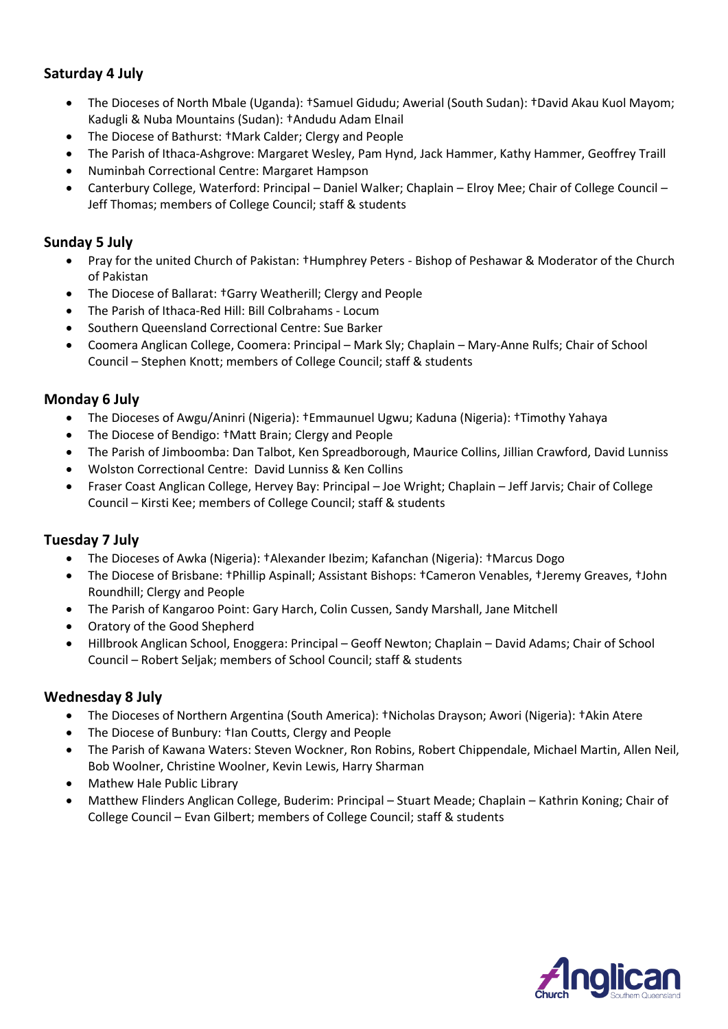### **Saturday 4 July**

- The Dioceses of North Mbale (Uganda): †Samuel Gidudu; Awerial (South Sudan): †David Akau Kuol Mayom; Kadugli & Nuba Mountains (Sudan): †Andudu Adam Elnail
- The Diocese of Bathurst: †Mark Calder; Clergy and People
- The Parish of Ithaca-Ashgrove: Margaret Wesley, Pam Hynd, Jack Hammer, Kathy Hammer, Geoffrey Traill
- Numinbah Correctional Centre: Margaret Hampson
- Canterbury College, Waterford: Principal Daniel Walker; Chaplain Elroy Mee; Chair of College Council Jeff Thomas; members of College Council; staff & students

### **Sunday 5 July**

- Pray for the united Church of Pakistan: †Humphrey Peters Bishop of Peshawar & Moderator of the Church of Pakistan
- The Diocese of Ballarat: †Garry Weatherill; Clergy and People
- The Parish of Ithaca-Red Hill: Bill Colbrahams Locum
- Southern Queensland Correctional Centre: Sue Barker
- Coomera Anglican College, Coomera: Principal Mark Sly; Chaplain Mary-Anne Rulfs; Chair of School Council – Stephen Knott; members of College Council; staff & students

### **Monday 6 July**

- The Dioceses of Awgu/Aninri (Nigeria): †Emmaunuel Ugwu; Kaduna (Nigeria): †Timothy Yahaya
- The Diocese of Bendigo: †Matt Brain; Clergy and People
- The Parish of Jimboomba: Dan Talbot, Ken Spreadborough, Maurice Collins, Jillian Crawford, David Lunniss
- Wolston Correctional Centre: David Lunniss & Ken Collins
- Fraser Coast Anglican College, Hervey Bay: Principal Joe Wright; Chaplain Jeff Jarvis; Chair of College Council – Kirsti Kee; members of College Council; staff & students

#### **Tuesday 7 July**

- The Dioceses of Awka (Nigeria): †Alexander Ibezim; Kafanchan (Nigeria): †Marcus Dogo
- The Diocese of Brisbane: †Phillip Aspinall; Assistant Bishops: †Cameron Venables, †Jeremy Greaves, †John Roundhill; Clergy and People
- The Parish of Kangaroo Point: Gary Harch, Colin Cussen, Sandy Marshall, Jane Mitchell
- Oratory of the Good Shepherd
- Hillbrook Anglican School, Enoggera: Principal Geoff Newton; Chaplain David Adams; Chair of School Council – Robert Seljak; members of School Council; staff & students

#### **Wednesday 8 July**

- The Dioceses of Northern Argentina (South America): †Nicholas Drayson; Awori (Nigeria): †Akin Atere
- The Diocese of Bunbury: †Ian Coutts, Clergy and People
- The Parish of Kawana Waters: Steven Wockner, Ron Robins, Robert Chippendale, Michael Martin, Allen Neil, Bob Woolner, Christine Woolner, Kevin Lewis, Harry Sharman
- Mathew Hale Public Library
- Matthew Flinders Anglican College, Buderim: Principal Stuart Meade; Chaplain Kathrin Koning; Chair of College Council – Evan Gilbert; members of College Council; staff & students

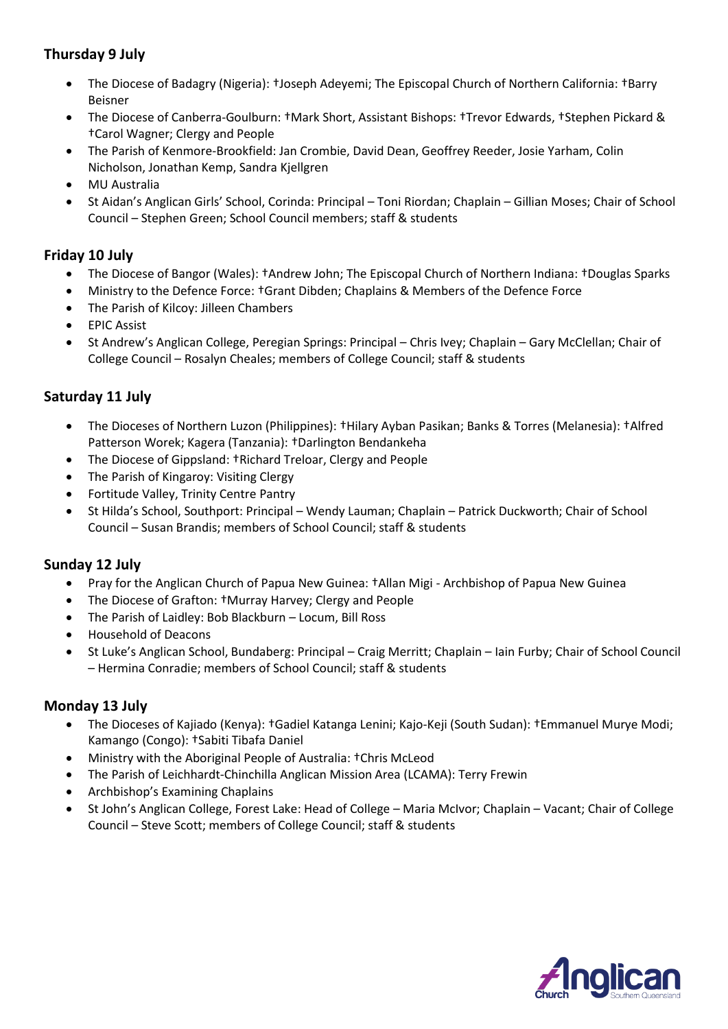# **Thursday 9 July**

- The Diocese of Badagry (Nigeria): †Joseph Adeyemi; The Episcopal Church of Northern California: †Barry Beisner
- The Diocese of Canberra-Goulburn: †Mark Short, Assistant Bishops: †Trevor Edwards, †Stephen Pickard & †Carol Wagner; Clergy and People
- The Parish of Kenmore-Brookfield: Jan Crombie, David Dean, Geoffrey Reeder, Josie Yarham, Colin Nicholson, Jonathan Kemp, Sandra Kjellgren
- MU Australia
- St Aidan's Anglican Girls' School, Corinda: Principal Toni Riordan; Chaplain Gillian Moses; Chair of School Council – Stephen Green; School Council members; staff & students

#### **Friday 10 July**

- The Diocese of Bangor (Wales): †Andrew John; The Episcopal Church of Northern Indiana: †Douglas Sparks
- Ministry to the Defence Force: †Grant Dibden; Chaplains & Members of the Defence Force
- The Parish of Kilcoy: Jilleen Chambers
- EPIC Assist
- St Andrew's Anglican College, Peregian Springs: Principal Chris Ivey; Chaplain Gary McClellan; Chair of College Council – Rosalyn Cheales; members of College Council; staff & students

### **Saturday 11 July**

- The Dioceses of Northern Luzon (Philippines): †Hilary Ayban Pasikan; Banks & Torres (Melanesia): †Alfred Patterson Worek; Kagera (Tanzania): †Darlington Bendankeha
- The Diocese of Gippsland: †Richard Treloar, Clergy and People
- The Parish of Kingaroy: Visiting Clergy
- Fortitude Valley, Trinity Centre Pantry
- St Hilda's School, Southport: Principal Wendy Lauman; Chaplain Patrick Duckworth; Chair of School Council – Susan Brandis; members of School Council; staff & students

#### **Sunday 12 July**

- Pray for the Anglican Church of Papua New Guinea: †Allan Migi Archbishop of Papua New Guinea
- The Diocese of Grafton: †Murray Harvey; Clergy and People
- The Parish of Laidley: Bob Blackburn Locum, Bill Ross
- Household of Deacons
- St Luke's Anglican School, Bundaberg: Principal Craig Merritt; Chaplain Iain Furby; Chair of School Council – Hermina Conradie; members of School Council; staff & students

#### **Monday 13 July**

- The Dioceses of Kajiado (Kenya): †Gadiel Katanga Lenini; Kajo-Keji (South Sudan): †Emmanuel Murye Modi; Kamango (Congo): †Sabiti Tibafa Daniel
- Ministry with the Aboriginal People of Australia: †Chris McLeod
- The Parish of Leichhardt-Chinchilla Anglican Mission Area (LCAMA): Terry Frewin
- Archbishop's Examining Chaplains
- St John's Anglican College, Forest Lake: Head of College Maria McIvor; Chaplain Vacant; Chair of College Council – Steve Scott; members of College Council; staff & students

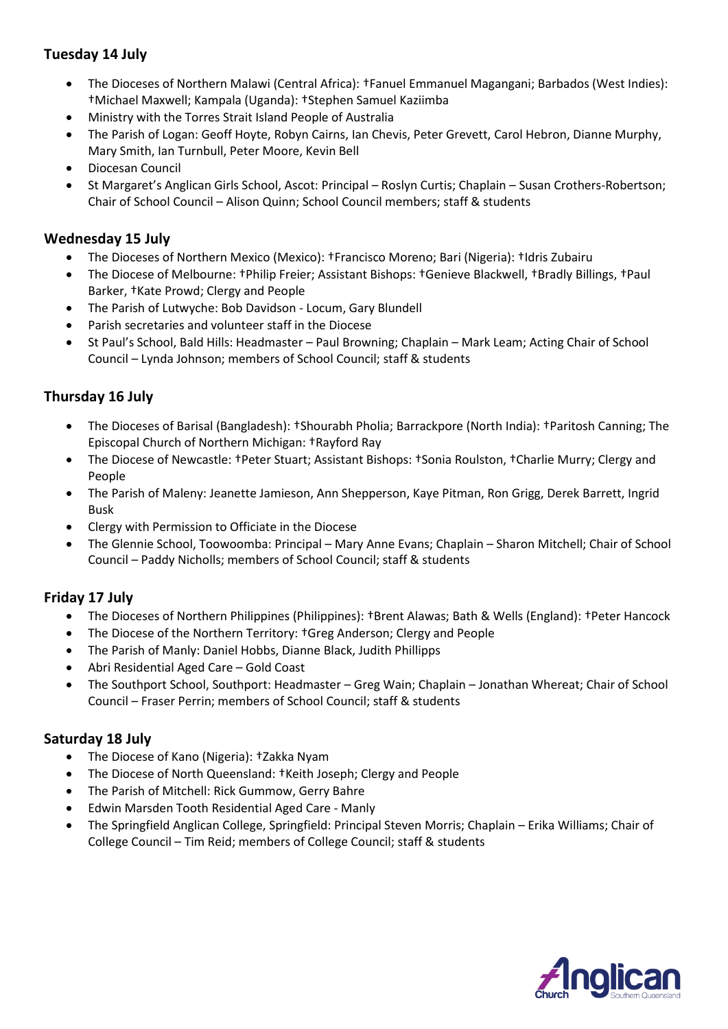# **Tuesday 14 July**

- The Dioceses of Northern Malawi (Central Africa): †Fanuel Emmanuel Magangani; Barbados (West Indies): †Michael Maxwell; Kampala (Uganda): †Stephen Samuel Kaziimba
- Ministry with the Torres Strait Island People of Australia
- The Parish of Logan: Geoff Hoyte, Robyn Cairns, Ian Chevis, Peter Grevett, Carol Hebron, Dianne Murphy, Mary Smith, Ian Turnbull, Peter Moore, Kevin Bell
- Diocesan Council
- St Margaret's Anglican Girls School, Ascot: Principal Roslyn Curtis; Chaplain Susan Crothers-Robertson; Chair of School Council – Alison Quinn; School Council members; staff & students

#### **Wednesday 15 July**

- The Dioceses of Northern Mexico (Mexico): †Francisco Moreno; Bari (Nigeria): †Idris Zubairu
- The Diocese of Melbourne: †Philip Freier; Assistant Bishops: †Genieve Blackwell, †Bradly Billings, †Paul Barker, †Kate Prowd; Clergy and People
- The Parish of Lutwyche: Bob Davidson Locum, Gary Blundell
- Parish secretaries and volunteer staff in the Diocese
- St Paul's School, Bald Hills: Headmaster Paul Browning; Chaplain Mark Leam; Acting Chair of School Council – Lynda Johnson; members of School Council; staff & students

### **Thursday 16 July**

- The Dioceses of Barisal (Bangladesh): †Shourabh Pholia; Barrackpore (North India): †Paritosh Canning; The Episcopal Church of Northern Michigan: †Rayford Ray
- The Diocese of Newcastle: †Peter Stuart; Assistant Bishops: †Sonia Roulston, †Charlie Murry; Clergy and People
- The Parish of Maleny: Jeanette Jamieson, Ann Shepperson, Kaye Pitman, Ron Grigg, Derek Barrett, Ingrid Busk
- Clergy with Permission to Officiate in the Diocese
- The Glennie School, Toowoomba: Principal Mary Anne Evans; Chaplain Sharon Mitchell; Chair of School Council – Paddy Nicholls; members of School Council; staff & students

#### **Friday 17 July**

- The Dioceses of Northern Philippines (Philippines): †Brent Alawas; Bath & Wells (England): †Peter Hancock
- The Diocese of the Northern Territory: †Greg Anderson; Clergy and People
- The Parish of Manly: Daniel Hobbs, Dianne Black, Judith Phillipps
- Abri Residential Aged Care Gold Coast
- The Southport School, Southport: Headmaster Greg Wain; Chaplain Jonathan Whereat; Chair of School Council – Fraser Perrin; members of School Council; staff & students

#### **Saturday 18 July**

- The Diocese of Kano (Nigeria): †Zakka Nyam
- The Diocese of North Queensland: †Keith Joseph; Clergy and People
- The Parish of Mitchell: Rick Gummow, Gerry Bahre
- Edwin Marsden Tooth Residential Aged Care Manly
- The Springfield Anglican College, Springfield: Principal Steven Morris; Chaplain Erika Williams; Chair of College Council – Tim Reid; members of College Council; staff & students

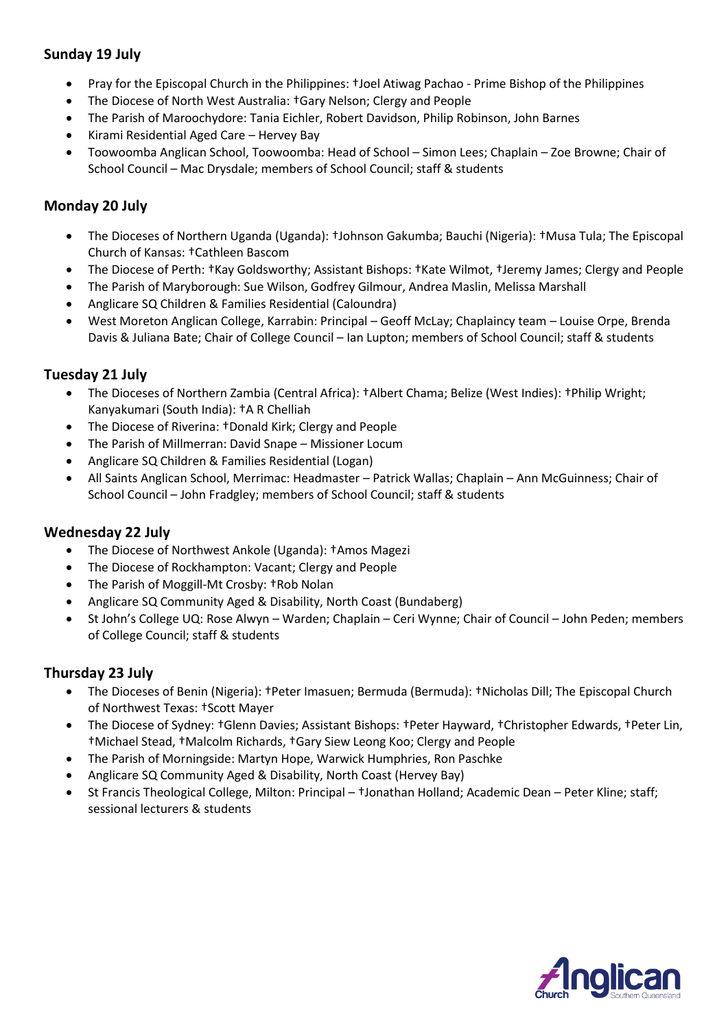### **Sunday 19 July**

- Pray for the Episcopal Church in the Philippines: †Joel Atiwag Pachao Prime Bishop of the Philippines
- The Diocese of North West Australia: †Gary Nelson; Clergy and People
- The Parish of Maroochydore: Tania Eichler, Robert Davidson, Philip Robinson, John Barnes
- Kirami Residential Aged Care Hervey Bay
- Toowoomba Anglican School, Toowoomba: Head of School Simon Lees; Chaplain Zoe Browne; Chair of School Council – Mac Drysdale; members of School Council; staff & students

### **Monday 20 July**

- The Dioceses of Northern Uganda (Uganda): †Johnson Gakumba; Bauchi (Nigeria): †Musa Tula; The Episcopal Church of Kansas: †Cathleen Bascom
- The Diocese of Perth: †Kay Goldsworthy; Assistant Bishops: †Kate Wilmot, †Jeremy James; Clergy and People
- The Parish of Maryborough: Sue Wilson, Godfrey Gilmour, Andrea Maslin, Melissa Marshall
- Anglicare SQ Children & Families Residential (Caloundra)
- West Moreton Anglican College, Karrabin: Principal Geoff McLay; Chaplaincy team Louise Orpe, Brenda Davis & Juliana Bate; Chair of College Council – Ian Lupton; members of School Council; staff & students

### **Tuesday 21 July**

- The Dioceses of Northern Zambia (Central Africa): †Albert Chama; Belize (West Indies): †Philip Wright; Kanyakumari (South India): †A R Chelliah
- The Diocese of Riverina: †Donald Kirk; Clergy and People
- The Parish of Millmerran: David Snape Missioner Locum
- Anglicare SQ Children & Families Residential (Logan)
- All Saints Anglican School, Merrimac: Headmaster Patrick Wallas; Chaplain Ann McGuinness; Chair of School Council – John Fradgley; members of School Council; staff & students

#### **Wednesday 22 July**

- The Diocese of Northwest Ankole (Uganda): †Amos Magezi
- The Diocese of Rockhampton: Vacant; Clergy and People
- The Parish of Moggill-Mt Crosby: †Rob Nolan
- Anglicare SQ Community Aged & Disability, North Coast (Bundaberg)
- St John's College UQ: Rose Alwyn Warden; Chaplain Ceri Wynne; Chair of Council John Peden; members of College Council; staff & students

#### **Thursday 23 July**

- The Dioceses of Benin (Nigeria): †Peter Imasuen; Bermuda (Bermuda): †Nicholas Dill; The Episcopal Church of Northwest Texas: †Scott Mayer
- The Diocese of Sydney: †Glenn Davies; Assistant Bishops: †Peter Hayward, †Christopher Edwards, †Peter Lin, †Michael Stead, †Malcolm Richards, †Gary Siew Leong Koo; Clergy and People
- The Parish of Morningside: Martyn Hope, Warwick Humphries, Ron Paschke
- Anglicare SQ Community Aged & Disability, North Coast (Hervey Bay)
- St Francis Theological College, Milton: Principal †Jonathan Holland; Academic Dean Peter Kline; staff; sessional lecturers & students

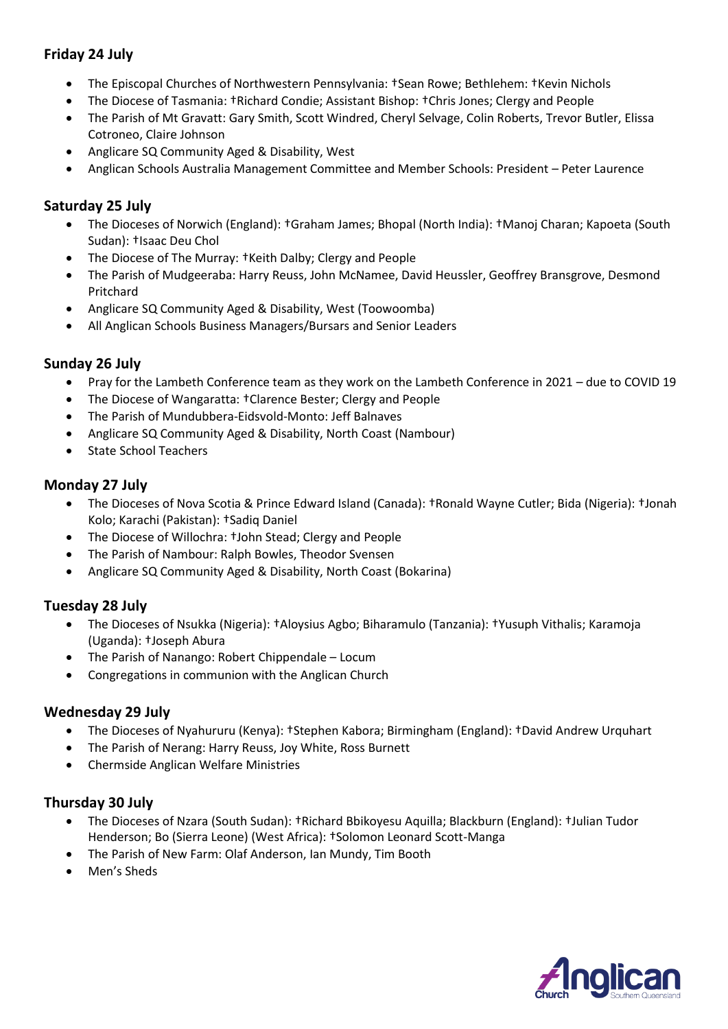### **Friday 24 July**

- The Episcopal Churches of Northwestern Pennsylvania: †Sean Rowe; Bethlehem: †Kevin Nichols
- The Diocese of Tasmania: †Richard Condie; Assistant Bishop: †Chris Jones; Clergy and People
- The Parish of Mt Gravatt: Gary Smith, Scott Windred, Cheryl Selvage, Colin Roberts, Trevor Butler, Elissa Cotroneo, Claire Johnson
- Anglicare SQ Community Aged & Disability, West
- Anglican Schools Australia Management Committee and Member Schools: President Peter Laurence

### **Saturday 25 July**

- The Dioceses of Norwich (England): †Graham James; Bhopal (North India): †Manoj Charan; Kapoeta (South Sudan): †Isaac Deu Chol
- The Diocese of The Murray: †Keith Dalby; Clergy and People
- The Parish of Mudgeeraba: Harry Reuss, John McNamee, David Heussler, Geoffrey Bransgrove, Desmond Pritchard
- Anglicare SQ Community Aged & Disability, West (Toowoomba)
- All Anglican Schools Business Managers/Bursars and Senior Leaders

### **Sunday 26 July**

- Pray for the Lambeth Conference team as they work on the Lambeth Conference in 2021 due to COVID 19
- The Diocese of Wangaratta: †Clarence Bester; Clergy and People
- The Parish of Mundubbera-Eidsvold-Monto: Jeff Balnaves
- Anglicare SQ Community Aged & Disability, North Coast (Nambour)
- State School Teachers

### **Monday 27 July**

- The Dioceses of Nova Scotia & Prince Edward Island (Canada): †Ronald Wayne Cutler; Bida (Nigeria): †Jonah Kolo; Karachi (Pakistan): †Sadiq Daniel
- The Diocese of Willochra: †John Stead; Clergy and People
- The Parish of Nambour: Ralph Bowles, Theodor Svensen
- Anglicare SQ Community Aged & Disability, North Coast (Bokarina)

### **Tuesday 28 July**

- The Dioceses of Nsukka (Nigeria): †Aloysius Agbo; Biharamulo (Tanzania): †Yusuph Vithalis; Karamoja (Uganda): †Joseph Abura
- The Parish of Nanango: Robert Chippendale Locum
- Congregations in communion with the Anglican Church

#### **Wednesday 29 July**

- The Dioceses of Nyahururu (Kenya): †Stephen Kabora; Birmingham (England): †David Andrew Urquhart
- The Parish of Nerang: Harry Reuss, Joy White, Ross Burnett
- Chermside Anglican Welfare Ministries

#### **Thursday 30 July**

- The Dioceses of Nzara (South Sudan): †Richard Bbikoyesu Aquilla; Blackburn (England): †Julian Tudor Henderson; Bo (Sierra Leone) (West Africa): †Solomon Leonard Scott-Manga
- The Parish of New Farm: Olaf Anderson, Ian Mundy, Tim Booth
- Men's Sheds